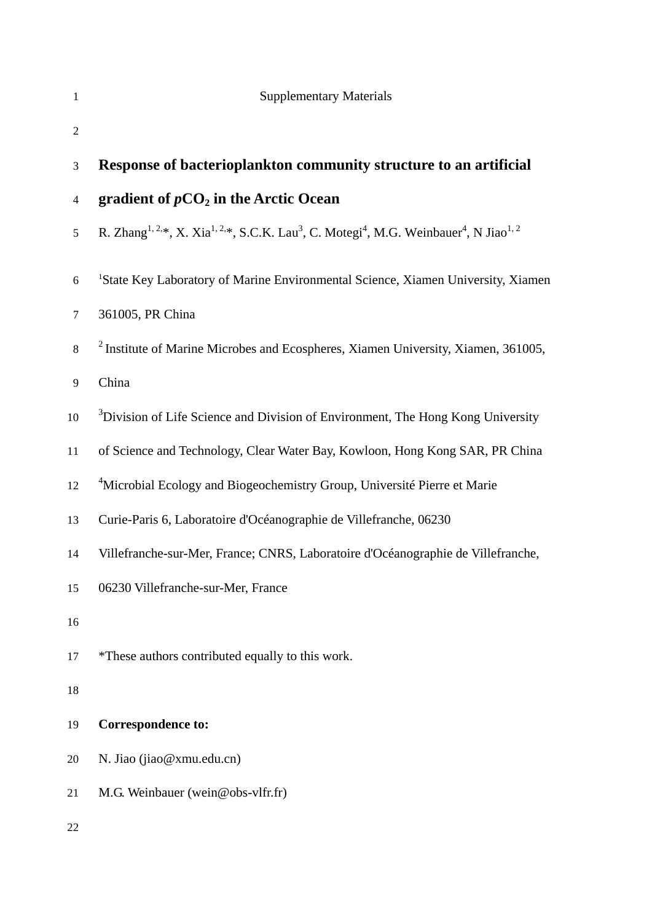| 1              | <b>Supplementary Materials</b>                                                                                                                                  |
|----------------|-----------------------------------------------------------------------------------------------------------------------------------------------------------------|
| $\overline{2}$ |                                                                                                                                                                 |
| 3              | Response of bacterioplankton community structure to an artificial                                                                                               |
| $\overline{4}$ | gradient of $pCO2$ in the Arctic Ocean                                                                                                                          |
| 5              | R. Zhang <sup>1, 2,*</sup> , X. Xia <sup>1, 2,*</sup> , S.C.K. Lau <sup>3</sup> , C. Motegi <sup>4</sup> , M.G. Weinbauer <sup>4</sup> , N Jiao <sup>1, 2</sup> |
| $6\,$          | <sup>1</sup> State Key Laboratory of Marine Environmental Science, Xiamen University, Xiamen                                                                    |
| $\tau$         | 361005, PR China                                                                                                                                                |
| $\,8\,$        | <sup>2</sup> Institute of Marine Microbes and Ecospheres, Xiamen University, Xiamen, 361005,                                                                    |
| $\overline{9}$ | China                                                                                                                                                           |
| 10             | <sup>3</sup> Division of Life Science and Division of Environment, The Hong Kong University                                                                     |
| 11             | of Science and Technology, Clear Water Bay, Kowloon, Hong Kong SAR, PR China                                                                                    |
| 12             | <sup>4</sup> Microbial Ecology and Biogeochemistry Group, Université Pierre et Marie                                                                            |
| 13             | Curie-Paris 6, Laboratoire d'Océanographie de Villefranche, 06230                                                                                               |
| 14             | Villefranche-sur-Mer, France; CNRS, Laboratoire d'Océanographie de Villefranche,                                                                                |
| 15             | 06230 Villefranche-sur-Mer, France                                                                                                                              |
| 16             |                                                                                                                                                                 |
| 17             | *These authors contributed equally to this work.                                                                                                                |
| 18             |                                                                                                                                                                 |
| 19             | <b>Correspondence to:</b>                                                                                                                                       |
| 20             | N. Jiao (jiao@xmu.edu.cn)                                                                                                                                       |
| 21             | M.G. Weinbauer (wein@obs-vlfr.fr)                                                                                                                               |
| 22             |                                                                                                                                                                 |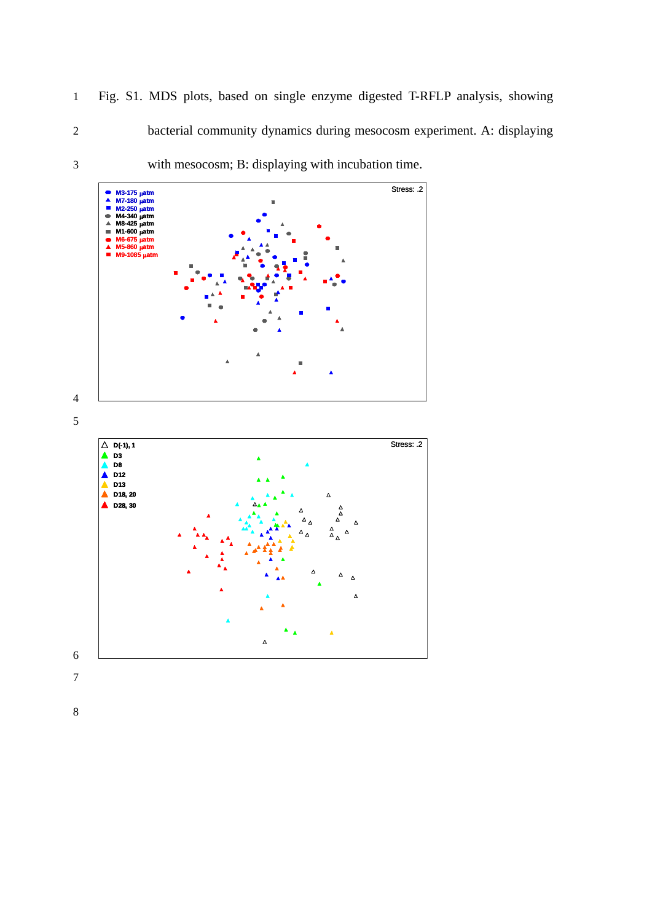1 Fig. S1. MDS plots, based on single enzyme digested T-RFLP analysis, showing 2 bacterial community dynamics during mesocosm experiment. A: displaying





8

7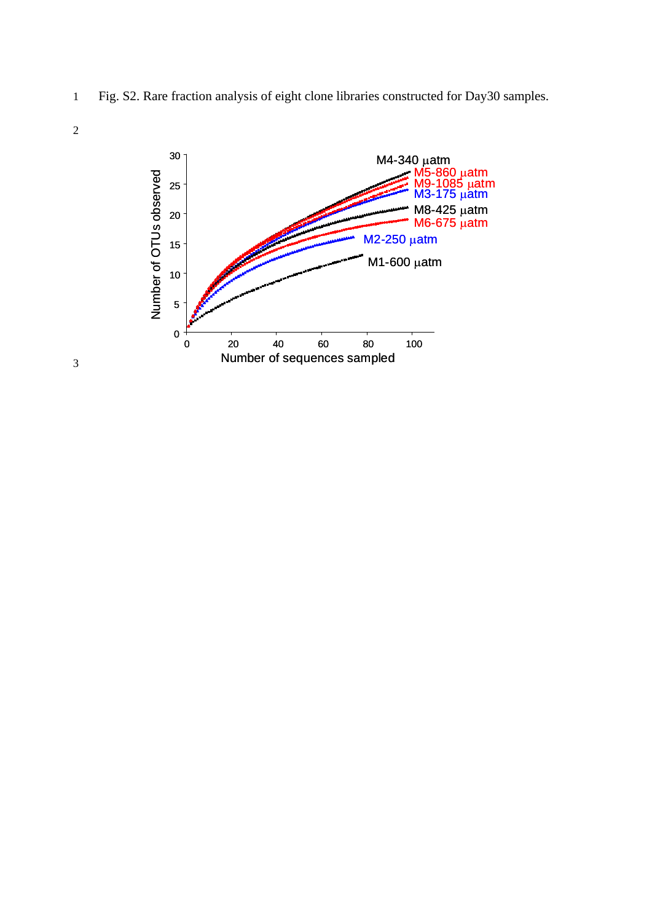1 Fig. S2. Rare fraction analysis of eight clone libraries constructed for Day30 samples.





3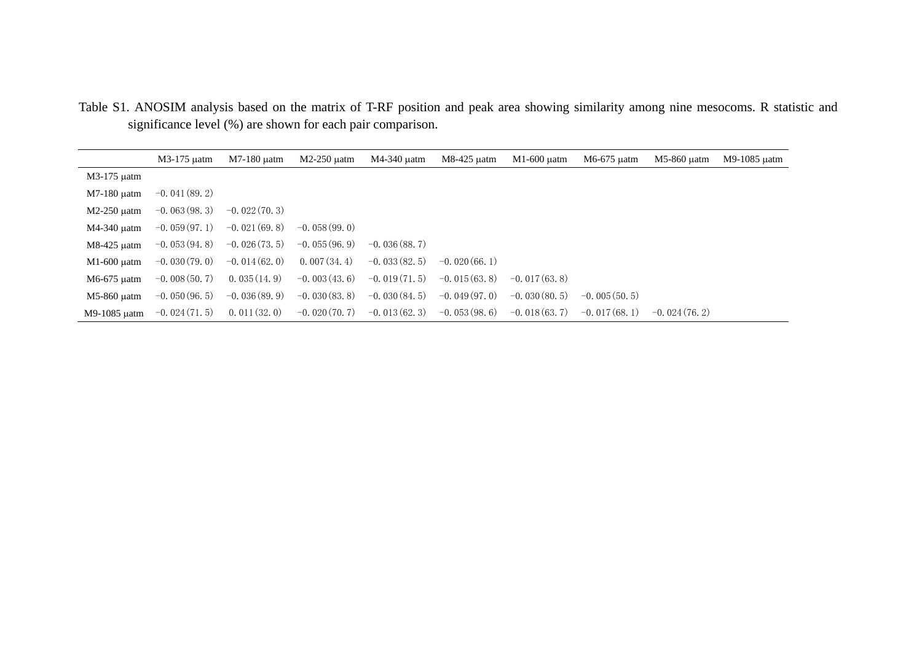|               | M3-175 uatm     | M7-180 uatm     | $M2-250$ uatm   | M4-340 uatm     | M8-425 µatm     | $M1-600$ uatm   | M6-675 µatm     | M5-860 uatm     | M9-1085 uatm |
|---------------|-----------------|-----------------|-----------------|-----------------|-----------------|-----------------|-----------------|-----------------|--------------|
| M3-175 µatm   |                 |                 |                 |                 |                 |                 |                 |                 |              |
| $M7-180$ uatm | $-0.041(89, 2)$ |                 |                 |                 |                 |                 |                 |                 |              |
| $M2-250$ uatm | $-0.063(98, 3)$ | $-0.022(70.3)$  |                 |                 |                 |                 |                 |                 |              |
| M4-340 µatm   | $-0.059(97.1)$  | $-0.021(69, 8)$ | $-0.058(99.0)$  |                 |                 |                 |                 |                 |              |
| M8-425 µatm   | $-0.053(94.8)$  | $-0.026(73, 5)$ | $-0.055(96.9)$  | $-0.036(88, 7)$ |                 |                 |                 |                 |              |
| $M1-600$ uatm | $-0.030(79.0)$  | $-0.014(62.0)$  | 0.007(34, 4)    | $-0.033(82, 5)$ | $-0.020(66.1)$  |                 |                 |                 |              |
| M6-675 µatm   | $-0.008(50, 7)$ | 0.035(14.9)     | $-0.003(43, 6)$ | $-0.019(71.5)$  | $-0.015(63, 8)$ | $-0.017(63, 8)$ |                 |                 |              |
| M5-860 uatm   | $-0.050(96, 5)$ | $-0.036(89, 9)$ | $-0.030(83, 8)$ | $-0.030(84.5)$  | $-0.049(97, 0)$ | $-0.030(80.5)$  | $-0.005(50.5)$  |                 |              |
| M9-1085 uatm  | $-0.024(71.5)$  | 0.011(32.0)     | $-0.020(70.7)$  | $-0.013(62, 3)$ | $-0.053(98.6)$  | $-0.018(63, 7)$ | $-0.017(68, 1)$ | $-0.024(76, 2)$ |              |

Table S1. ANOSIM analysis based on the matrix of T-RF position and peak area showing similarity among nine mesocoms. R statistic and significance level (%) are shown for each pair comparison.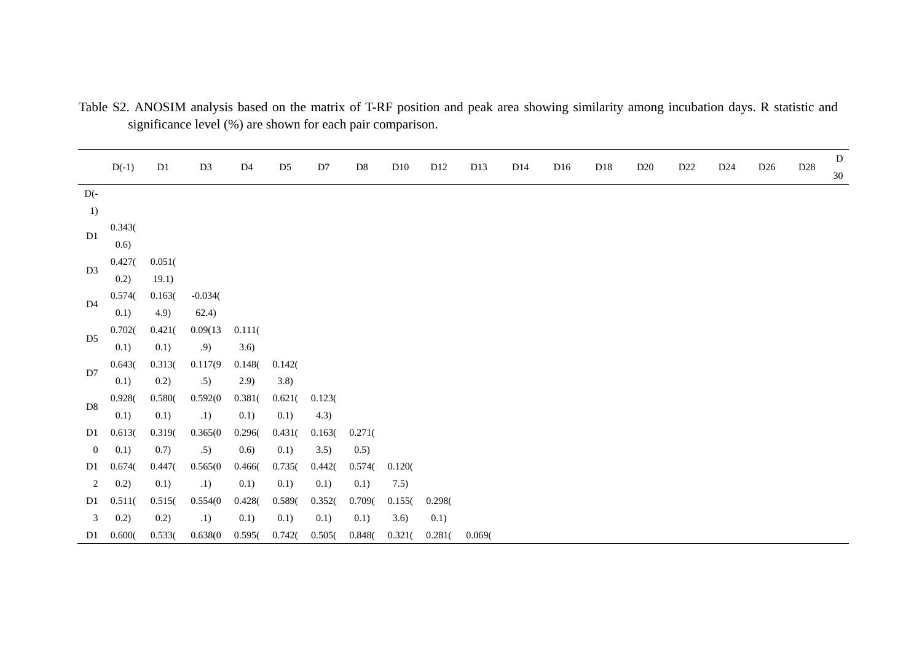|                  | $D(-1)$ | D1     | D <sub>3</sub> | D <sub>4</sub> | D <sub>5</sub> | D7     | $\mathbf{D}8$ | D10    | D <sub>12</sub> | D13    | D14 | D <sub>16</sub> | D18 | D <sub>20</sub> | D <sub>22</sub> | D <sub>24</sub> | D <sub>26</sub> | $\mathbf{D}28$ | D  |
|------------------|---------|--------|----------------|----------------|----------------|--------|---------------|--------|-----------------|--------|-----|-----------------|-----|-----------------|-----------------|-----------------|-----------------|----------------|----|
|                  |         |        |                |                |                |        |               |        |                 |        |     |                 |     |                 |                 |                 |                 |                | 30 |
| $D(-$            |         |        |                |                |                |        |               |        |                 |        |     |                 |     |                 |                 |                 |                 |                |    |
| 1)               |         |        |                |                |                |        |               |        |                 |        |     |                 |     |                 |                 |                 |                 |                |    |
|                  | 0.343(  |        |                |                |                |        |               |        |                 |        |     |                 |     |                 |                 |                 |                 |                |    |
| D1               | 0.6)    |        |                |                |                |        |               |        |                 |        |     |                 |     |                 |                 |                 |                 |                |    |
|                  | 0.427(  | 0.051( |                |                |                |        |               |        |                 |        |     |                 |     |                 |                 |                 |                 |                |    |
| D <sub>3</sub>   | 0.2)    | 19.1)  |                |                |                |        |               |        |                 |        |     |                 |     |                 |                 |                 |                 |                |    |
|                  | 0.574(  | 0.163( | $-0.034($      |                |                |        |               |        |                 |        |     |                 |     |                 |                 |                 |                 |                |    |
| D4               | 0.1)    | 4.9)   | 62.4)          |                |                |        |               |        |                 |        |     |                 |     |                 |                 |                 |                 |                |    |
|                  | 0.702(  | 0.421( | 0.09(13)       | 0.111(         |                |        |               |        |                 |        |     |                 |     |                 |                 |                 |                 |                |    |
| D <sub>5</sub>   | 0.1)    | 0.1)   | .9)            | 3.6)           |                |        |               |        |                 |        |     |                 |     |                 |                 |                 |                 |                |    |
|                  | 0.643(  | 0.313( | 0.117(9)       | 0.148(         | 0.142(         |        |               |        |                 |        |     |                 |     |                 |                 |                 |                 |                |    |
| D7               | 0.1)    | 0.2)   | .5)            | 2.9)           | 3.8)           |        |               |        |                 |        |     |                 |     |                 |                 |                 |                 |                |    |
|                  | 0.928(  | 0.580( | 0.592(0)       | 0.381(         | 0.621(         | 0.123( |               |        |                 |        |     |                 |     |                 |                 |                 |                 |                |    |
| D <sub>8</sub>   | 0.1)    | 0.1)   | .1)            | 0.1)           | 0.1)           | 4.3)   |               |        |                 |        |     |                 |     |                 |                 |                 |                 |                |    |
| D1               | 0.613(  | 0.319( | 0.365(0)       | 0.296(         | 0.431(         | 0.163( | 0.271(        |        |                 |        |     |                 |     |                 |                 |                 |                 |                |    |
| $\mathbf{0}$     | 0.1)    | 0.7)   | .5)            | 0.6)           | 0.1)           | 3.5)   | 0.5)          |        |                 |        |     |                 |     |                 |                 |                 |                 |                |    |
| D1               | 0.674(  | 0.447( | 0.565(0)       | 0.466(         | 0.735(         | 0.442( | 0.574(        | 0.120( |                 |        |     |                 |     |                 |                 |                 |                 |                |    |
| $\boldsymbol{2}$ | 0.2)    | 0.1)   | .1)            | 0.1)           | 0.1)           | 0.1)   | 0.1)          | 7.5)   |                 |        |     |                 |     |                 |                 |                 |                 |                |    |
| D1               | 0.511(  | 0.515( | 0.554(0)       | 0.428(         | 0.589(         | 0.352( | 0.709(        | 0.155( | 0.298(          |        |     |                 |     |                 |                 |                 |                 |                |    |
| 3                | 0.2)    | 0.2)   | .1)            | 0.1)           | 0.1)           | 0.1)   | 0.1)          | 3.6)   | 0.1)            |        |     |                 |     |                 |                 |                 |                 |                |    |
| D1               | 0.600(  | 0.533( | 0.638(0)       | 0.595(         | 0.742(         | 0.505( | 0.848(        | 0.321( | 0.281(          | 0.069( |     |                 |     |                 |                 |                 |                 |                |    |

Table S2. ANOSIM analysis based on the matrix of T-RF position and peak area showing similarity among incubation days. R statistic and significance level (%) are shown for each pair comparison.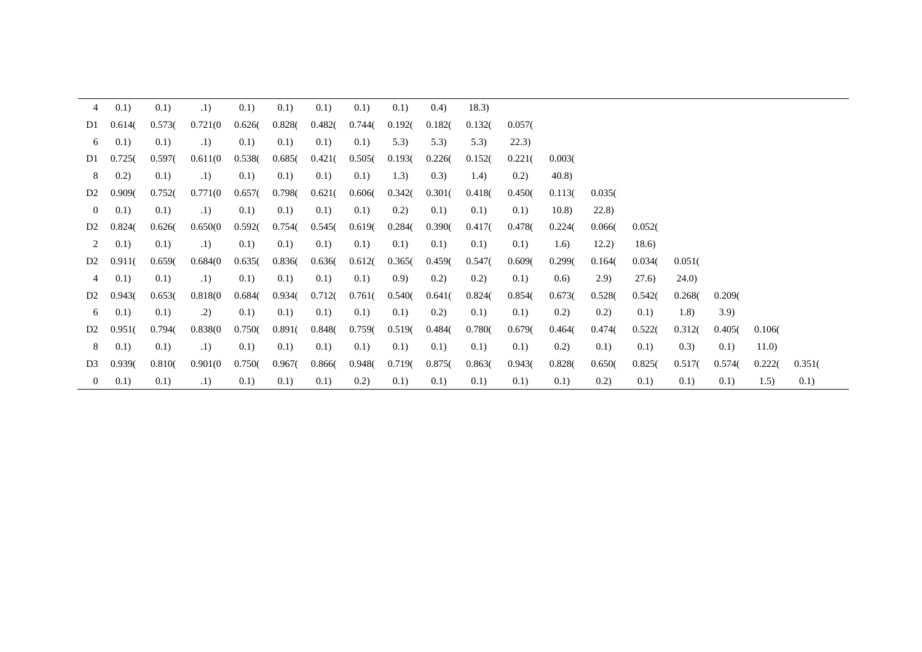| $\overline{4}$ | 0.1)   | 0.1)   | .1)      | 0.1)   | 0.1)   | 0.1)   | 0.1)   | 0.1)   | (0.4)  | 18.3)  |        |        |        |        |        |        |        |        |
|----------------|--------|--------|----------|--------|--------|--------|--------|--------|--------|--------|--------|--------|--------|--------|--------|--------|--------|--------|
| D1             | 0.614( | 0.573( | 0.721(0) | 0.626( | 0.828  | 0.482( | 0.744( | 0.192( | 0.182( | 0.132( | 0.057( |        |        |        |        |        |        |        |
| 6              | 0.1)   | 0.1)   | .1)      | 0.1)   | 0.1)   | 0.1)   | 0.1)   | 5.3)   | 5.3)   | 5.3)   | 22.3)  |        |        |        |        |        |        |        |
| D1             | 0.7250 | 0.597( | 0.611(0) | 0.538( | 0.685( | 0.421( | 0.505( | 0.193( | 0.226( | 0.152( | 0.221( | 0.003( |        |        |        |        |        |        |
| 8              | 0.2)   | 0.1)   | .1)      | 0.1)   | 0.1)   | 0.1)   | 0.1)   | 1.3)   | (0.3)  | 1.4)   | 0.2)   | 40.8)  |        |        |        |        |        |        |
| D <sub>2</sub> | 0.909( | 0.752( | 0.771(0) | 0.657( | 0.798  | 0.621( | 0.606( | 0.342( | 0.301( | 0.418( | 0.450( | 0.113( | 0.035( |        |        |        |        |        |
| $\overline{0}$ | 0.1)   | 0.1)   | .1)      | 0.1)   | 0.1)   | 0.1)   | 0.1)   | 0.2)   | 0.1)   | 0.1)   | 0.1)   | 10.8)  | (22.8) |        |        |        |        |        |
| D <sub>2</sub> | 0.824( | 0.626( | 0.650(0) | 0.592( | 0.754( | 0.545( | 0.619( | 0.284( | 0.390( | 0.417( | 0.478  | 0.224( | 0.066( | 0.052( |        |        |        |        |
| 2              | 0.1)   | 0.1)   | .1)      | 0.1)   | 0.1)   | 0.1)   | 0.1)   | 0.1)   | 0.1)   | 0.1)   | 0.1)   | 1.6)   | 12.2)  | 18.6   |        |        |        |        |
| D <sub>2</sub> | 0.911( | 0.659( | 0.684(0) | 0.635( | 0.836( | 0.636( | 0.612( | 0.365( | 0.459( | 0.547( | 0.609( | 0.299( | 0.164( | 0.034( | 0.051( |        |        |        |
| 4              | 0.1)   | 0.1)   | .1)      | 0.1)   | 0.1)   | 0.1)   | 0.1)   | (0.9)  | 0.2)   | 0.2)   | 0.1)   | (0.6)  | (2.9)  | 27.6)  | 24.0   |        |        |        |
| D <sub>2</sub> | 0.9430 | 0.653( | 0.818(0  | 0.684( | 0.934( | 0.712( | 0.761( | 0.540( | 0.641( | 0.824( | 0.854( | 0.673( | 0.528( | 0.542( | 0.268  | 0.209( |        |        |
| 6              | 0.1)   | (0.1)  | .2)      | 0.1)   | 0.1)   | 0.1)   | 0.1)   | 0.1)   | 0.2)   | 0.1)   | 0.1)   | 0.2)   | 0.2)   | 0.1)   | 1.8)   | 3.9    |        |        |
| D <sub>2</sub> | 0.951( | 0.794( | 0.838(0) | 0.750( | 0.891( | 0.848  | 0.759( | 0.519( | 0.484( | 0.780  | 0.679( | 0.464( | 0.474( | 0.522( | 0.312( | 0.405( | 0.106( |        |
| 8              | 0.1)   | 0.1)   | .1)      | 0.1)   | 0.1)   | 0.1)   | 0.1)   | 0.1)   | 0.1)   | 0.1)   | 0.1)   | 0.2)   | 0.1)   | 0.1)   | (0.3)  | 0.1)   | 11.0)  |        |
| D <sub>3</sub> | 0.939( | 0.810( | 0.901(0) | 0.750( | 0.967( | 0.866( | 0.948( | 0.719( | 0.875( | 0.863( | 0.943( | 0.828  | 0.650( | 0.825( | 0.517( | 0.574  | 0.222( | 0.351( |
| $\overline{0}$ | 0.1)   | 0.1)   | .1)      | 0.1)   | 0.1)   | 0.1)   | 0.2)   | 0.1)   | 0.1)   | 0.1)   | 0.1)   | 0.1)   | 0.2)   | 0.1)   | 0.1)   | 0.1)   | 1.5)   | 0.1)   |